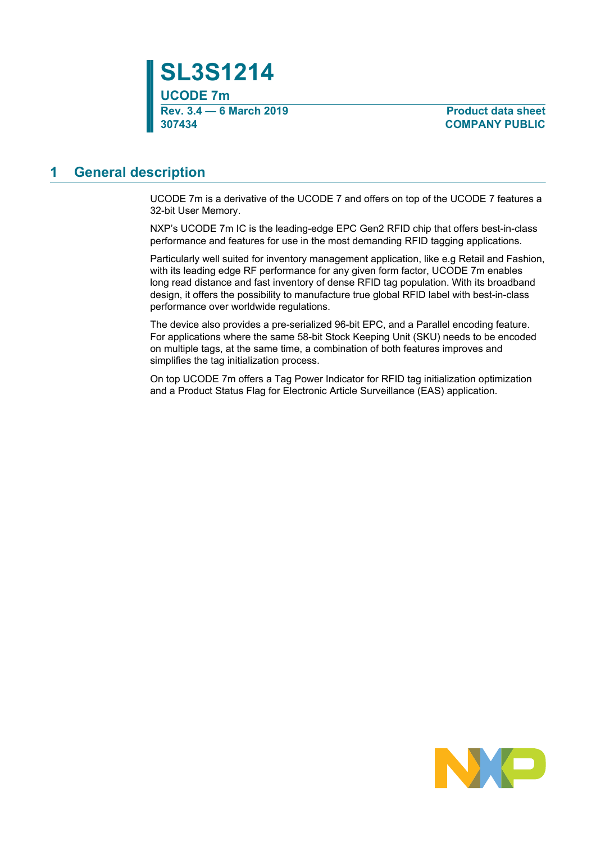

**307434 COMPANY PUBLIC**

### <span id="page-0-0"></span>**1 General description**

UCODE 7m is a derivative of the UCODE 7 and offers on top of the UCODE 7 features a 32-bit User Memory.

NXP's UCODE 7m IC is the leading-edge EPC Gen2 RFID chip that offers best-in-class performance and features for use in the most demanding RFID tagging applications.

Particularly well suited for inventory management application, like e.g Retail and Fashion, with its leading edge RF performance for any given form factor, UCODE 7m enables long read distance and fast inventory of dense RFID tag population. With its broadband design, it offers the possibility to manufacture true global RFID label with best-in-class performance over worldwide regulations.

The device also provides a pre-serialized 96-bit EPC, and a Parallel encoding feature. For applications where the same 58-bit Stock Keeping Unit (SKU) needs to be encoded on multiple tags, at the same time, a combination of both features improves and simplifies the tag initialization process.

On top UCODE 7m offers a Tag Power Indicator for RFID tag initialization optimization and a Product Status Flag for Electronic Article Surveillance (EAS) application.

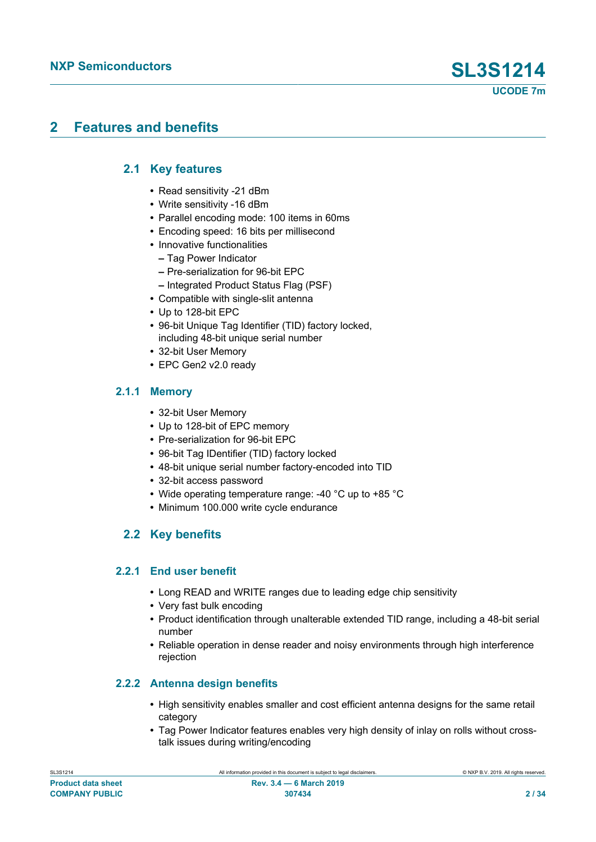### <span id="page-1-0"></span>**2 Features and benefits**

### **2.1 Key features**

- <span id="page-1-1"></span>**•** Read sensitivity -21 dBm
- **•** Write sensitivity -16 dBm
- **•** Parallel encoding mode: 100 items in 60ms
- **•** Encoding speed: 16 bits per millisecond
- **•** Innovative functionalities
	- **–** Tag Power Indicator
	- **–** Pre-serialization for 96-bit EPC
	- **–** Integrated Product Status Flag (PSF)
- **•** Compatible with single-slit antenna
- **•** Up to 128-bit EPC
- **•** 96-bit Unique Tag Identifier (TID) factory locked, including 48-bit unique serial number
- **•** 32-bit User Memory
- <span id="page-1-2"></span>**•** EPC Gen2 v2.0 ready

### **2.1.1 Memory**

- **•** 32-bit User Memory
- **•** Up to 128-bit of EPC memory
- **•** Pre-serialization for 96-bit EPC
- **•** 96-bit Tag IDentifier (TID) factory locked
- **•** 48-bit unique serial number factory-encoded into TID
- **•** 32-bit access password
- **•** Wide operating temperature range: -40 °C up to +85 °C
- <span id="page-1-3"></span>**•** Minimum 100.000 write cycle endurance

### **2.2 Key benefits**

#### **2.2.1 End user benefit**

- <span id="page-1-4"></span>**•** Long READ and WRITE ranges due to leading edge chip sensitivity
- **•** Very fast bulk encoding
- **•** Product identification through unalterable extended TID range, including a 48-bit serial number
- **•** Reliable operation in dense reader and noisy environments through high interference rejection

#### **2.2.2 Antenna design benefits**

- <span id="page-1-5"></span>**•** High sensitivity enables smaller and cost efficient antenna designs for the same retail category
- **•** Tag Power Indicator features enables very high density of inlay on rolls without crosstalk issues during writing/encoding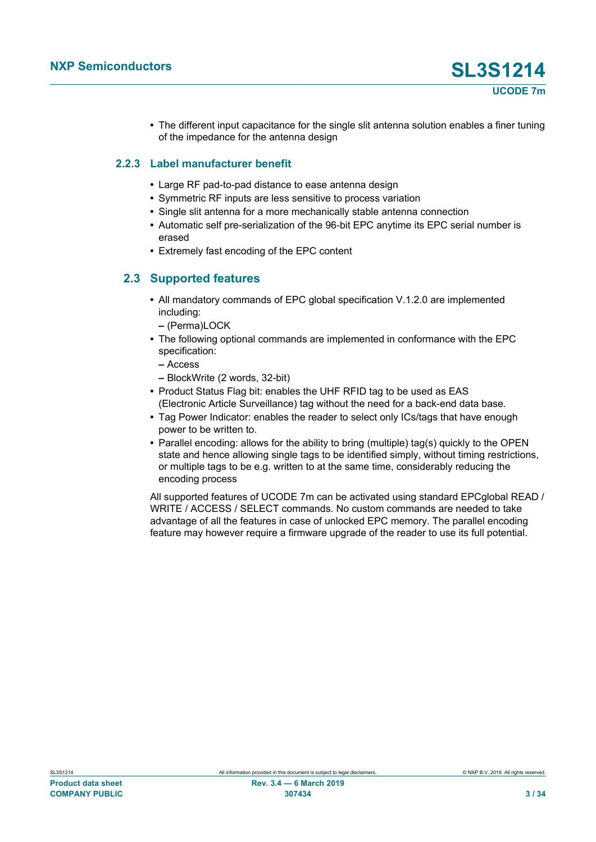**•** The different input capacitance for the single slit antenna solution enables a finer tuning of the impedance for the antenna design

#### **2.2.3 Label manufacturer benefit**

- <span id="page-2-0"></span>**•** Large RF pad-to-pad distance to ease antenna design
- **•** Symmetric RF inputs are less sensitive to process variation
- **•** Single slit antenna for a more mechanically stable antenna connection
- **•** Automatic self pre-serialization of the 96-bit EPC anytime its EPC serial number is erased
- <span id="page-2-1"></span>**•** Extremely fast encoding of the EPC content

#### **2.3 Supported features**

- **•** All mandatory commands of EPC global specification V.1.2.0 are implemented including:
	- **–** (Perma)LOCK
- **•** The following optional commands are implemented in conformance with the EPC specification:
	- **–** Access
	- **–** BlockWrite (2 words, 32-bit)
- **•** Product Status Flag bit: enables the UHF RFID tag to be used as EAS (Electronic Article Surveillance) tag without the need for a back-end data base.
- **•** Tag Power Indicator: enables the reader to select only ICs/tags that have enough power to be written to.
- **•** Parallel encoding: allows for the ability to bring (multiple) tag(s) quickly to the OPEN state and hence allowing single tags to be identified simply, without timing restrictions, or multiple tags to be e.g. written to at the same time, considerably reducing the encoding process

All supported features of UCODE 7m can be activated using standard EPCglobal READ / WRITE / ACCESS / SELECT commands. No custom commands are needed to take advantage of all the features in case of unlocked EPC memory. The parallel encoding feature may however require a firmware upgrade of the reader to use its full potential.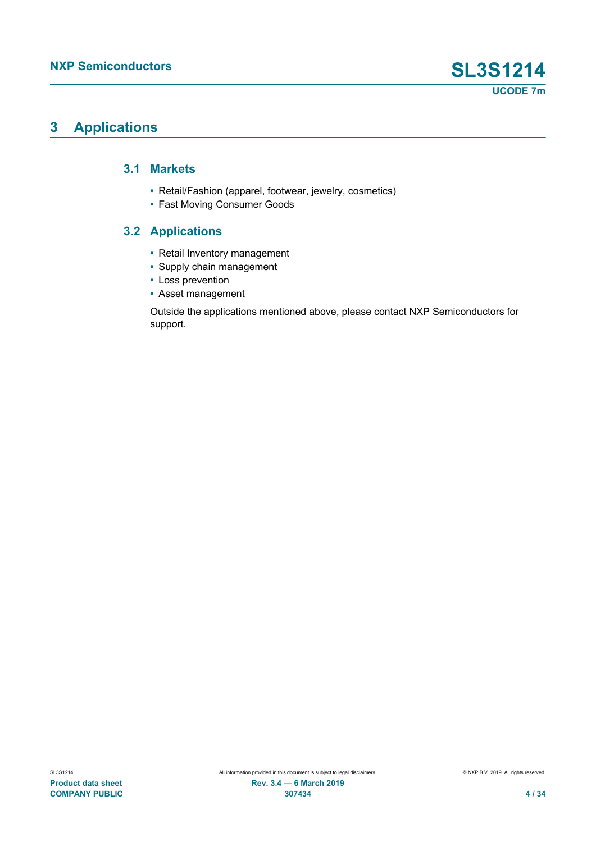### <span id="page-3-0"></span>**3 Applications**

#### **3.1 Markets**

- <span id="page-3-1"></span>**•** Retail/Fashion (apparel, footwear, jewelry, cosmetics)
- <span id="page-3-2"></span>**•** Fast Moving Consumer Goods

### **3.2 Applications**

- **•** Retail Inventory management
- **•** Supply chain management
- **•** Loss prevention
- **•** Asset management

Outside the applications mentioned above, please contact NXP Semiconductors for support.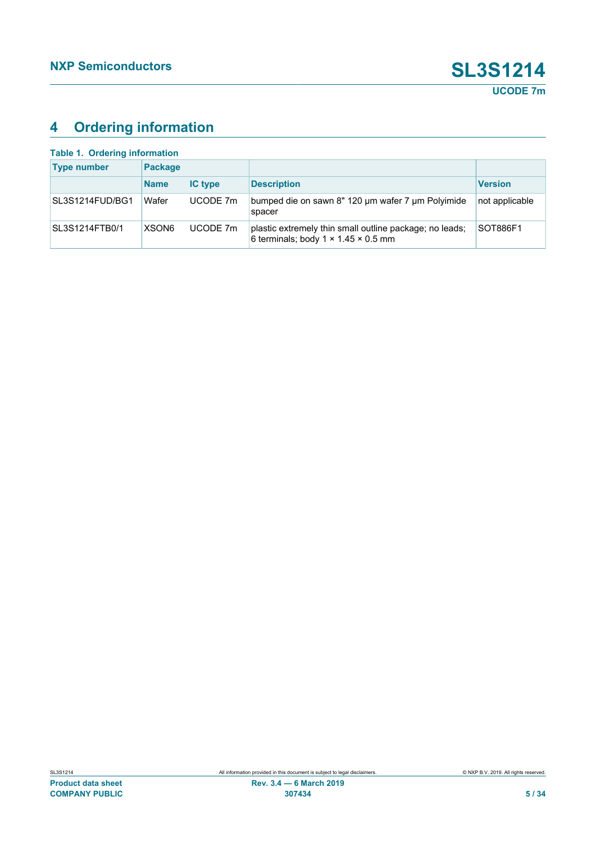## <span id="page-4-1"></span>**4 Ordering information**

<span id="page-4-0"></span>

| <b>Table 1. Ordering information</b> |                   |                |                                                                                                            |                 |
|--------------------------------------|-------------------|----------------|------------------------------------------------------------------------------------------------------------|-----------------|
| <b>Type number</b>                   | <b>Package</b>    |                |                                                                                                            |                 |
|                                      | <b>Name</b>       | <b>IC type</b> | <b>Description</b>                                                                                         | <b>Version</b>  |
| SL3S1214FUD/BG1                      | Wafer             | UCODE 7m       | bumped die on sawn 8" 120 um wafer 7 um Polyimide<br>spacer                                                | not applicable  |
| SL3S1214FTB0/1                       | XSON <sub>6</sub> | UCODE 7m       | plastic extremely thin small outline package; no leads;<br>6 terminals; body $1 \times 1.45 \times 0.5$ mm | <b>SOT886F1</b> |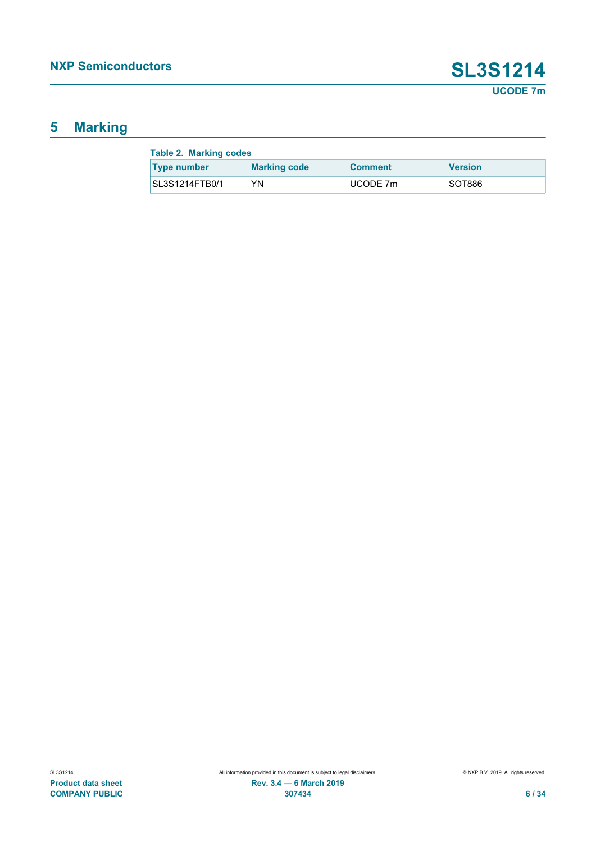## <span id="page-5-1"></span>**5 Marking**

<span id="page-5-0"></span>

| <b>Table 2. Marking codes</b> |                     |                |                |  |  |
|-------------------------------|---------------------|----------------|----------------|--|--|
| <b>Type number</b>            | <b>Marking code</b> | <b>Comment</b> | <b>Version</b> |  |  |
| SL3S1214FTB0/1                | YN                  | UCODE 7m       | SOT886         |  |  |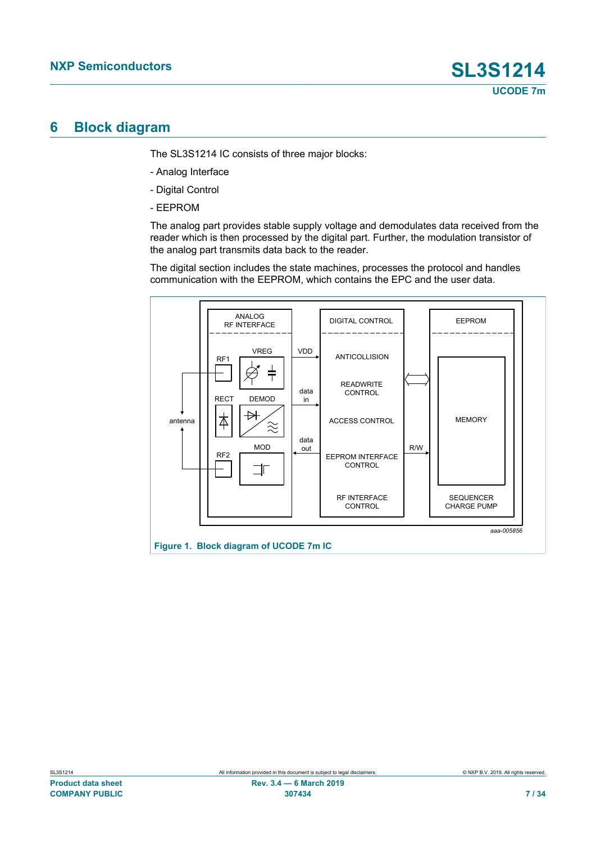### <span id="page-6-1"></span>**6 Block diagram**

The SL3S1214 IC consists of three major blocks:

- Analog Interface
- Digital Control
- EEPROM

The analog part provides stable supply voltage and demodulates data received from the reader which is then processed by the digital part. Further, the modulation transistor of the analog part transmits data back to the reader.

The digital section includes the state machines, processes the protocol and handles communication with the EEPROM, which contains the EPC and the user data.

<span id="page-6-0"></span>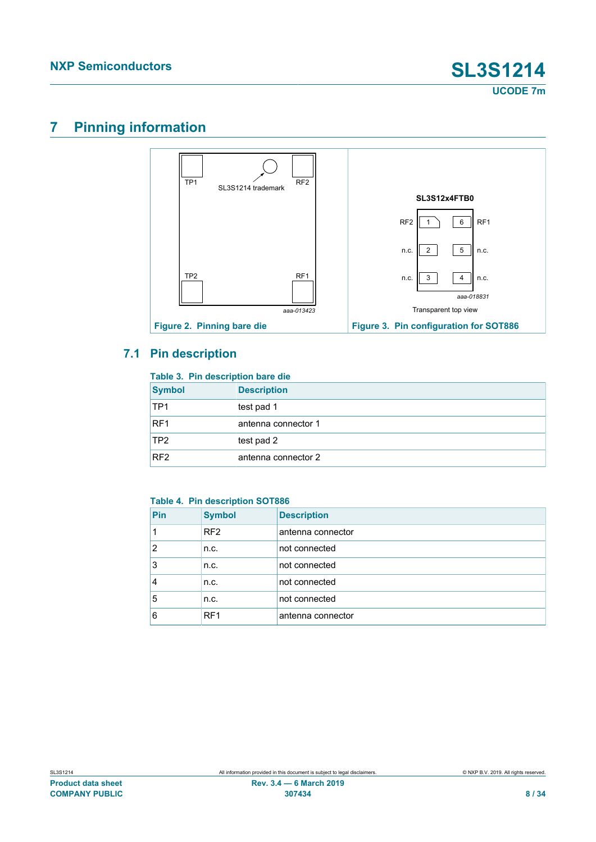<span id="page-7-3"></span>**UCODE 7m**

## <span id="page-7-4"></span>**7 Pinning information**

<span id="page-7-2"></span>

### **7.1 Pin description**

#### <span id="page-7-5"></span><span id="page-7-0"></span>**Table 3. Pin description bare die**

| <b>Symbol</b>   | <b>Description</b>  |
|-----------------|---------------------|
| TP <sub>1</sub> | test pad 1          |
| RF <sub>1</sub> | antenna connector 1 |
| TP2             | test pad 2          |
| RF <sub>2</sub> | antenna connector 2 |

#### <span id="page-7-1"></span>**Table 4. Pin description SOT886**

| Pin | <b>Symbol</b>   | <b>Description</b> |
|-----|-----------------|--------------------|
|     | RF <sub>2</sub> | antenna connector  |
| 2   | n.c.            | not connected      |
| 3   | n.c.            | not connected      |
| 4   | n.c.            | not connected      |
| 5   | n.c.            | not connected      |
| 6   | RF <sub>1</sub> | antenna connector  |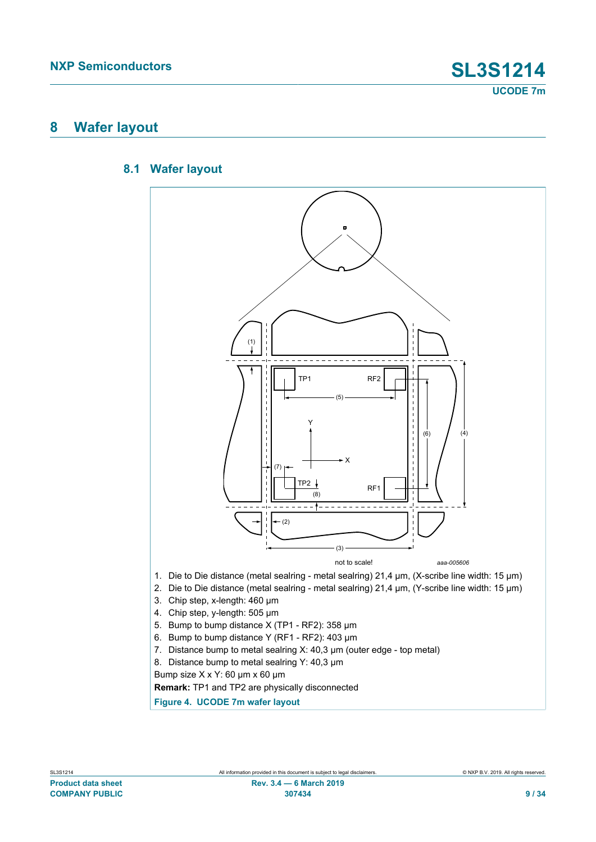### <span id="page-8-1"></span>**8 Wafer layout**

#### **8.1 Wafer layout**

<span id="page-8-2"></span><span id="page-8-0"></span>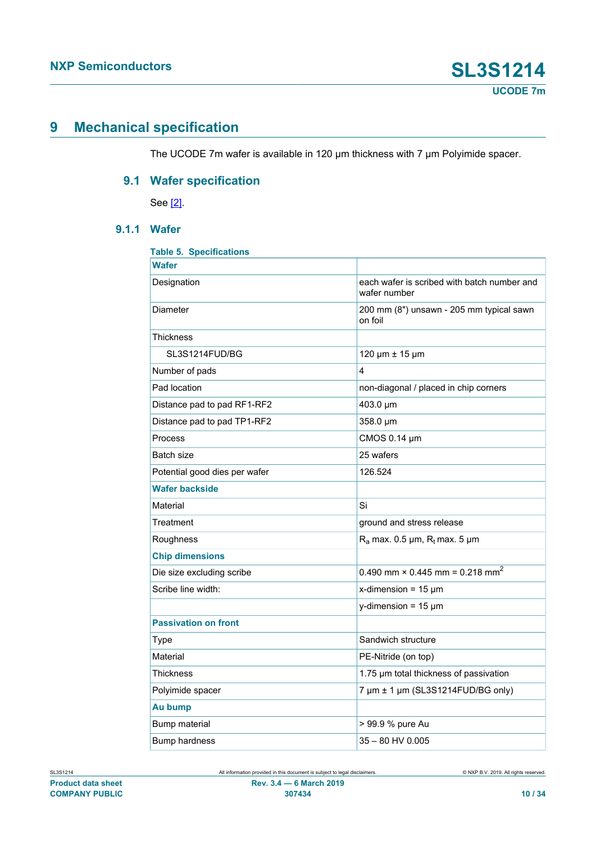### <span id="page-9-1"></span>**9 Mechanical specification**

<span id="page-9-2"></span>The UCODE 7m wafer is available in 120 μm thickness with 7 μm Polyimide spacer.

### **9.1 Wafer specification**

See [\[2\].](#page-27-0)

### **9.1.1 Wafer**

<span id="page-9-3"></span><span id="page-9-0"></span>

| <b>Table 5. Specifications</b> |                                                             |
|--------------------------------|-------------------------------------------------------------|
| <b>Wafer</b>                   |                                                             |
| Designation                    | each wafer is scribed with batch number and<br>wafer number |
| Diameter                       | 200 mm (8") unsawn - 205 mm typical sawn<br>on foil         |
| Thickness                      |                                                             |
| SL3S1214FUD/BG                 | 120 µm ± 15 µm                                              |
| Number of pads                 | 4                                                           |
| Pad location                   | non-diagonal / placed in chip corners                       |
| Distance pad to pad RF1-RF2    | 403.0 µm                                                    |
| Distance pad to pad TP1-RF2    | 358.0 µm                                                    |
| Process                        | CMOS 0.14 µm                                                |
| Batch size                     | 25 wafers                                                   |
| Potential good dies per wafer  | 126.524                                                     |
| <b>Wafer backside</b>          |                                                             |
| Material                       | Si                                                          |
| Treatment                      | ground and stress release                                   |
| Roughness                      | $R_a$ max. 0.5 µm, $R_t$ max. 5 µm                          |
| <b>Chip dimensions</b>         |                                                             |
| Die size excluding scribe      | 0.490 mm $\times$ 0.445 mm = 0.218 mm <sup>2</sup>          |
| Scribe line width:             | x-dimension = $15 \mu m$                                    |
|                                | y-dimension = $15 \mu m$                                    |
| <b>Passivation on front</b>    |                                                             |
| Type                           | Sandwich structure                                          |
| Material                       | PE-Nitride (on top)                                         |
| Thickness                      | 1.75 µm total thickness of passivation                      |
| Polyimide spacer               | 7 um ± 1 um (SL3S1214FUD/BG only)                           |
| Au bump                        |                                                             |
| Bump material                  | > 99.9 % pure Au                                            |
| <b>Bump hardness</b>           | 35 - 80 HV 0.005                                            |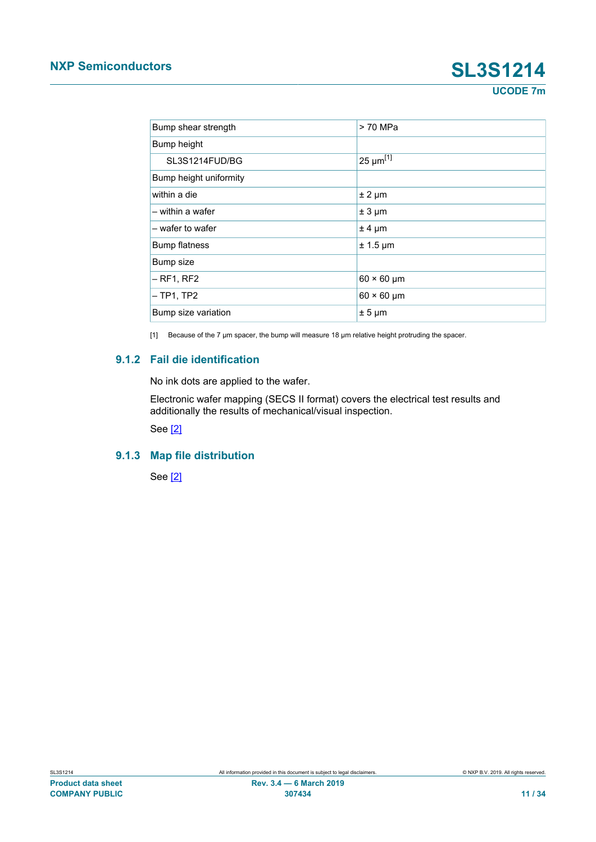# **NXP Semiconductors SL3S1214**

**UCODE 7m**

<span id="page-10-0"></span>

| Bump shear strength    | > 70 MPa                      |
|------------------------|-------------------------------|
| Bump height            |                               |
| SL3S1214FUD/BG         | $\sqrt{25}$ µm <sup>[1]</sup> |
| Bump height uniformity |                               |
| within a die           | $± 2 \mu m$                   |
| – within a wafer       | $± 3 \mu m$                   |
| - wafer to wafer       | $± 4 \mu m$                   |
| <b>Bump flatness</b>   | $± 1.5 \mu m$                 |
| Bump size              |                               |
| $-$ RF1, RF2           | $60 \times 60$ µm             |
| $-TP1,TP2$             | $60 \times 60$ µm             |
| Bump size variation    | $± 5 \mu m$                   |

<span id="page-10-1"></span>[1] Because of the 7 μm spacer, the bump will measure 18 μm relative height protruding the spacer.

#### **9.1.2 Fail die identification**

No ink dots are applied to the wafer.

Electronic wafer mapping (SECS II format) covers the electrical test results and additionally the results of mechanical/visual inspection.

<span id="page-10-2"></span>See [\[2\]](#page-27-0)

#### **9.1.3 Map file distribution**

See [\[2\]](#page-27-0)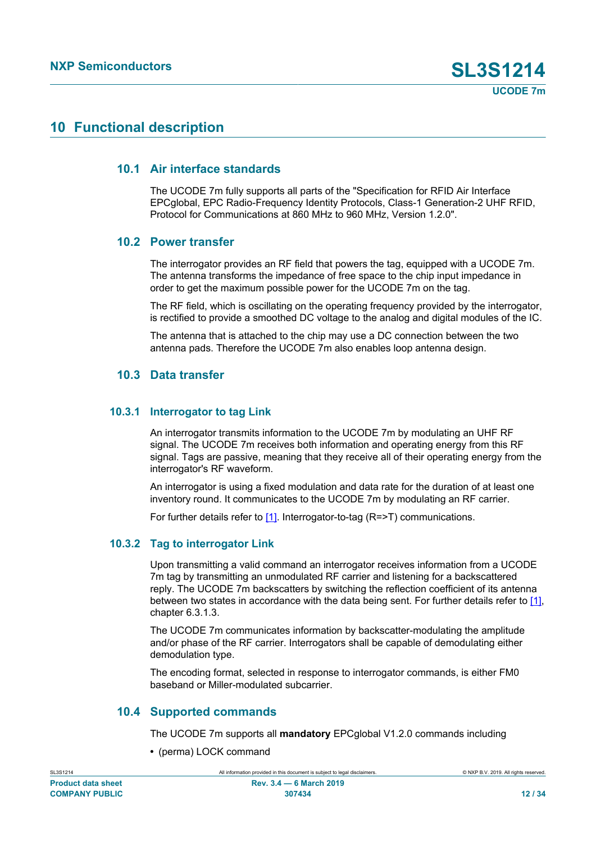### <span id="page-11-0"></span>**10 Functional description**

#### **10.1 Air interface standards**

<span id="page-11-1"></span>The UCODE 7m fully supports all parts of the "Specification for RFID Air Interface EPCglobal, EPC Radio-Frequency Identity Protocols, Class-1 Generation-2 UHF RFID, Protocol for Communications at 860 MHz to 960 MHz, Version 1.2.0".

#### **10.2 Power transfer**

<span id="page-11-2"></span>The interrogator provides an RF field that powers the tag, equipped with a UCODE 7m. The antenna transforms the impedance of free space to the chip input impedance in order to get the maximum possible power for the UCODE 7m on the tag.

The RF field, which is oscillating on the operating frequency provided by the interrogator, is rectified to provide a smoothed DC voltage to the analog and digital modules of the IC.

The antenna that is attached to the chip may use a DC connection between the two antenna pads. Therefore the UCODE 7m also enables loop antenna design.

#### <span id="page-11-3"></span>**10.3 Data transfer**

#### **10.3.1 Interrogator to tag Link**

<span id="page-11-4"></span>An interrogator transmits information to the UCODE 7m by modulating an UHF RF signal. The UCODE 7m receives both information and operating energy from this RF signal. Tags are passive, meaning that they receive all of their operating energy from the interrogator's RF waveform.

An interrogator is using a fixed modulation and data rate for the duration of at least one inventory round. It communicates to the UCODE 7m by modulating an RF carrier.

<span id="page-11-5"></span>For further details refer to [\[1\].](#page-27-1) Interrogator-to-tag (R=>T) communications.

#### **10.3.2 Tag to interrogator Link**

Upon transmitting a valid command an interrogator receives information from a UCODE 7m tag by transmitting an unmodulated RF carrier and listening for a backscattered reply. The UCODE 7m backscatters by switching the reflection coefficient of its antenna between two states in accordance with the data being sent. For further details refer to [\[1\],](#page-27-1) chapter 6.3.1.3.

The UCODE 7m communicates information by backscatter-modulating the amplitude and/or phase of the RF carrier. Interrogators shall be capable of demodulating either demodulation type.

The encoding format, selected in response to interrogator commands, is either FM0 baseband or Miller-modulated subcarrier.

#### **10.4 Supported commands**

<span id="page-11-6"></span>The UCODE 7m supports all **mandatory** EPCglobal V1.2.0 commands including

**•** (perma) LOCK command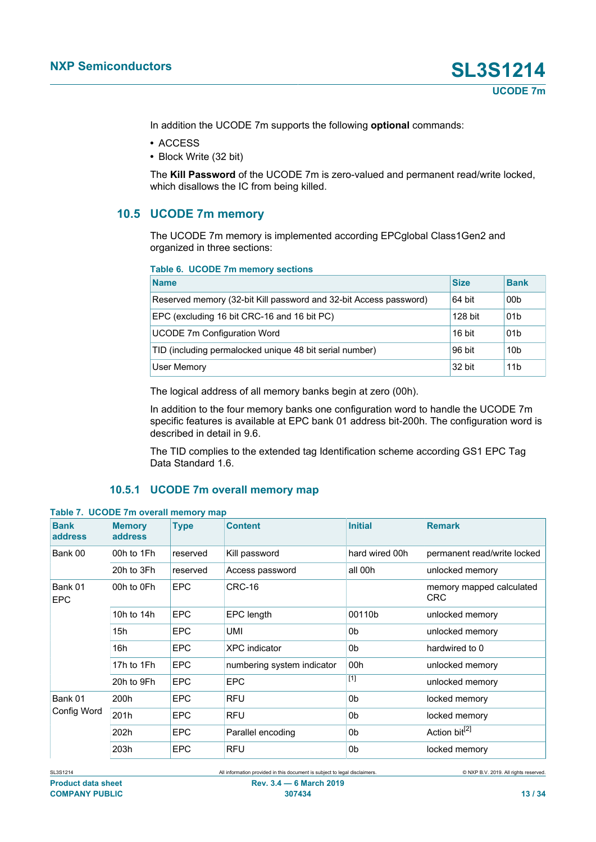In addition the UCODE 7m supports the following **optional** commands:

- **•** ACCESS
- **•** Block Write (32 bit)

The **Kill Password** of the UCODE 7m is zero-valued and permanent read/write locked, which disallows the IC from being killed.

#### **10.5 UCODE 7m memory**

<span id="page-12-2"></span>The UCODE 7m memory is implemented according EPCglobal Class1Gen2 and organized in three sections:

#### <span id="page-12-0"></span>**Table 6. UCODE 7m memory sections**

| <b>Name</b>                                                       | <b>Size</b> | <b>Bank</b>     |
|-------------------------------------------------------------------|-------------|-----------------|
| Reserved memory (32-bit Kill password and 32-bit Access password) | 64 bit      | 00b             |
| EPC (excluding 16 bit CRC-16 and 16 bit PC)                       | 128 bit     | 01 <sub>b</sub> |
| <b>UCODE 7m Configuration Word</b>                                | 16 bit      | 01b             |
| TID (including permalocked unique 48 bit serial number)           | 96 bit      | 10 <sub>b</sub> |
| User Memory                                                       | 32 bit      | 11 <sub>b</sub> |

The logical address of all memory banks begin at zero (00h).

In addition to the four memory banks one configuration word to handle the UCODE 7m specific features is available at EPC bank 01 address bit-200h. The configuration word is described in detail in 9.6.

<span id="page-12-3"></span>The TID complies to the extended tag Identification scheme according GS1 EPC Tag Data Standard 1.6.

#### <span id="page-12-1"></span>**10.5.1 UCODE 7m overall memory map**

| <b>Bank</b><br>address | <b>Memory</b><br>address | <b>Type</b> | <b>Content</b>             | <b>Initial</b> | <b>Remark</b>                          |
|------------------------|--------------------------|-------------|----------------------------|----------------|----------------------------------------|
| Bank 00                | 00h to 1Fh               | reserved    | Kill password              | hard wired 00h | permanent read/write locked            |
|                        | 20h to 3Fh               | reserved    | Access password            | all 00h        | unlocked memory                        |
| Bank 01<br><b>EPC</b>  | 00h to 0Fh               | EPC         | CRC-16                     |                | memory mapped calculated<br><b>CRC</b> |
|                        | 10h to 14h               | <b>EPC</b>  | EPC length                 | 00110b         | unlocked memory                        |
|                        | 15h                      | <b>EPC</b>  | <b>UMI</b>                 | 0b             | unlocked memory                        |
|                        | 16h                      | <b>EPC</b>  | <b>XPC</b> indicator       | 0b             | hardwired to 0                         |
|                        | 17h to 1Fh               | <b>EPC</b>  | numbering system indicator | 00h            | unlocked memory                        |
|                        | 20h to 9Fh               | <b>EPC</b>  | <b>EPC</b>                 | [1]            | unlocked memory                        |
| Bank 01                | 200h                     | <b>EPC</b>  | <b>RFU</b>                 | 0b             | locked memory                          |
| Config Word            | 201h                     | <b>EPC</b>  | <b>RFU</b>                 | 0b             | locked memory                          |
|                        | 202h                     | <b>EPC</b>  | Parallel encoding          | 0b             | Action bit <sup>[2]</sup>              |
|                        | 203h                     | <b>EPC</b>  | <b>RFU</b>                 | 0b             | locked memory                          |

**Table 7. UCODE 7m overall memory map**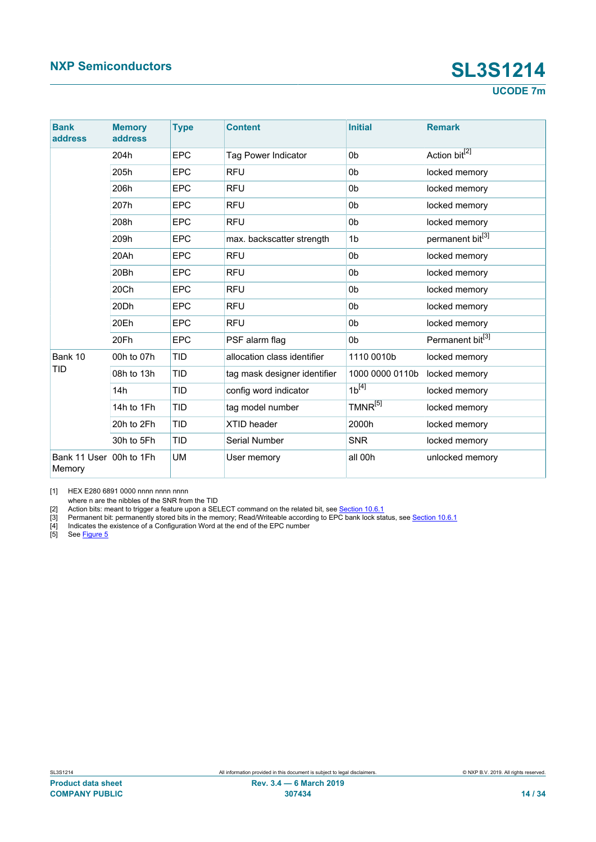**UCODE 7m**

<span id="page-13-4"></span><span id="page-13-3"></span><span id="page-13-2"></span><span id="page-13-1"></span><span id="page-13-0"></span>

| <b>Bank</b><br>address | <b>Memory</b><br>address | <b>Type</b> | <b>Content</b>               | <b>Initial</b>  | <b>Remark</b>                |
|------------------------|--------------------------|-------------|------------------------------|-----------------|------------------------------|
|                        | 204h                     | <b>EPC</b>  | <b>Tag Power Indicator</b>   | 0 <sub>b</sub>  | Action bit <sup>[2]</sup>    |
|                        | 205h                     | <b>EPC</b>  | <b>RFU</b>                   | 0 <sub>b</sub>  | locked memory                |
|                        | 206h                     | <b>EPC</b>  | <b>RFU</b>                   | 0 <sub>b</sub>  | locked memory                |
|                        | 207h                     | <b>EPC</b>  | <b>RFU</b>                   | 0 <sub>b</sub>  | locked memory                |
|                        | 208h                     | <b>EPC</b>  | <b>RFU</b>                   | 0b              | locked memory                |
|                        | 209h                     | <b>EPC</b>  | max. backscatter strength    | 1 <sub>b</sub>  | permanent bit[3]             |
|                        | 20Ah                     | <b>EPC</b>  | <b>RFU</b>                   | 0 <sub>b</sub>  | locked memory                |
|                        | 20Bh                     | <b>EPC</b>  | <b>RFU</b>                   | 0 <sub>b</sub>  | locked memory                |
|                        | 20Ch                     | <b>EPC</b>  | <b>RFU</b>                   | 0b              | locked memory                |
|                        | 20Dh                     | <b>EPC</b>  | <b>RFU</b>                   | 0 <sub>b</sub>  | locked memory                |
|                        | 20Eh                     | <b>EPC</b>  | <b>RFU</b>                   | 0 <sub>b</sub>  | locked memory                |
|                        | 20Fh                     | <b>EPC</b>  | PSF alarm flag               | 0b              | Permanent bit <sup>[3]</sup> |
| Bank 10                | 00h to 07h               | <b>TID</b>  | allocation class identifier  | 1110 0010b      | locked memory                |
| <b>TID</b>             | 08h to 13h               | <b>TID</b>  | tag mask designer identifier | 1000 0000 0110b | locked memory                |
|                        | 14h                      | <b>TID</b>  | config word indicator        | $1b^{[4]}$      | locked memory                |
|                        | 14h to 1Fh               | <b>TID</b>  | tag model number             | $TMNR^{[5]}$    | locked memory                |
|                        | 20h to 2Fh               | <b>TID</b>  | XTID header                  | 2000h           | locked memory                |
|                        | 30h to 5Fh               | <b>TID</b>  | Serial Number                | <b>SNR</b>      | locked memory                |
| Bank 11 User<br>Memory | 00h to 1Fh               | <b>UM</b>   | User memory                  | all 00h         | unlocked memory              |

[1] HEX E280 6891 0000 nnnn nnnn nnnn

where n are the nibbles of the SNR from the TID

[2] Action bits: meant to trigger a feature upon a SELECT command on the related bit, see <u>[Section 10.6.1](#page-15-0)</u>

[3] Permanent bit: permanently stored bits in the memory; Read/Writeable according to EPC bank lock status, see [Section 10.6.1](#page-15-0)

[4] Indicates the existence of a Configuration Word at the end of the EPC number

[5] See <u>Figure 5</u>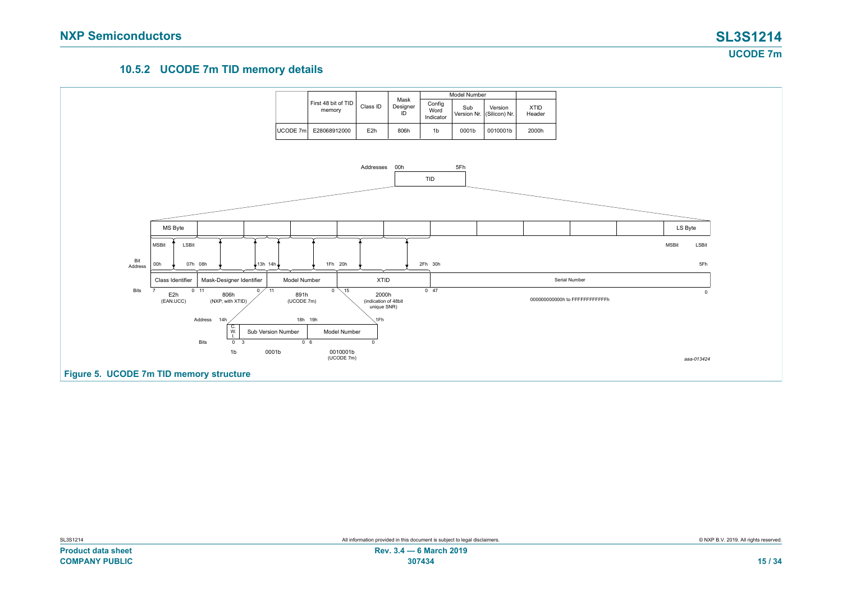**UCODE 7m**

#### <span id="page-14-1"></span>**10.5.2 UCODE 7m TID memory details**

<span id="page-14-0"></span>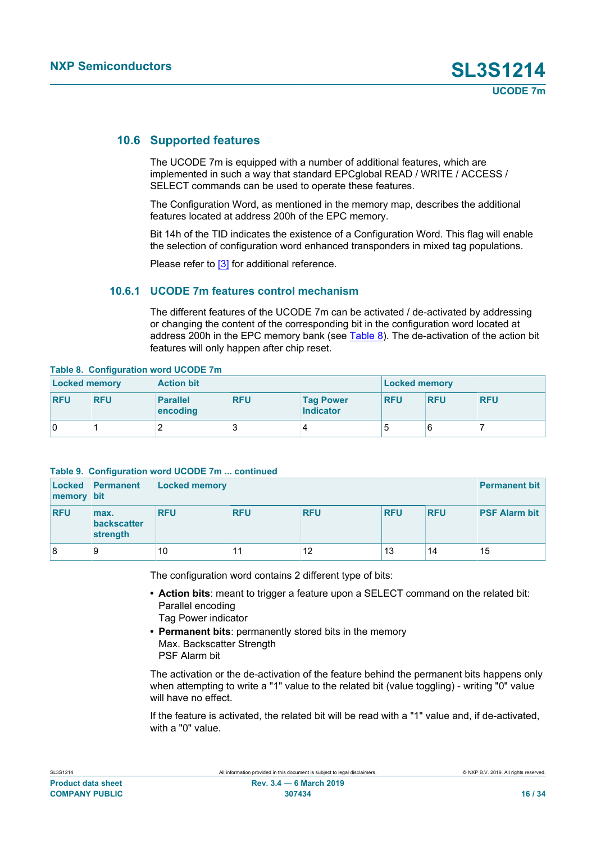#### **10.6 Supported features**

<span id="page-15-3"></span>The UCODE 7m is equipped with a number of additional features, which are implemented in such a way that standard EPCglobal READ / WRITE / ACCESS / SELECT commands can be used to operate these features.

The Configuration Word, as mentioned in the memory map, describes the additional features located at address 200h of the EPC memory.

Bit 14h of the TID indicates the existence of a Configuration Word. This flag will enable the selection of configuration word enhanced transponders in mixed tag populations.

<span id="page-15-0"></span>Please refer to [\[3\]](#page-27-2) for additional reference.

#### **10.6.1 UCODE 7m features control mechanism**

<span id="page-15-1"></span>The different features of the UCODE 7m can be activated / de-activated by addressing or changing the content of the corresponding bit in the configuration word located at address 200h in the EPC memory bank (see [Table 8\)](#page-15-1). The de-activation of the action bit features will only happen after chip reset.

#### **Table 8. Configuration word UCODE 7m**

| <b>Locked memory</b> |            | <b>Action bit</b>           |            |                                      | <b>Locked memory</b> |            |            |
|----------------------|------------|-----------------------------|------------|--------------------------------------|----------------------|------------|------------|
| <b>RFU</b>           | <b>RFU</b> | <b>Parallel</b><br>encoding | <b>RFU</b> | <b>Tag Power</b><br><b>Indicator</b> | <b>RFU</b>           | <b>RFU</b> | <b>RFU</b> |
| 0                    |            | _                           |            |                                      | b                    |            |            |

#### <span id="page-15-2"></span>**Table 9. Configuration word UCODE 7m ... continued**

| memory bit | Locked Permanent                | Locked memory |            |            |            |            | <b>Permanent bit</b> |
|------------|---------------------------------|---------------|------------|------------|------------|------------|----------------------|
| <b>RFU</b> | max.<br>backscatter<br>strength | <b>RFU</b>    | <b>RFU</b> | <b>RFU</b> | <b>RFU</b> | <b>RFU</b> | <b>PSF Alarm bit</b> |
| 8          | 9                               | 10            | 11         | 12         | 13         | 14         | 15                   |

The configuration word contains 2 different type of bits:

- **• Action bits**: meant to trigger a feature upon a SELECT command on the related bit: Parallel encoding Tag Power indicator
- **• Permanent bits**: permanently stored bits in the memory Max. Backscatter Strength PSF Alarm bit

The activation or the de-activation of the feature behind the permanent bits happens only when attempting to write a "1" value to the related bit (value toggling) - writing "0" value will have no effect.

If the feature is activated, the related bit will be read with a "1" value and, if de-activated, with a "0" value.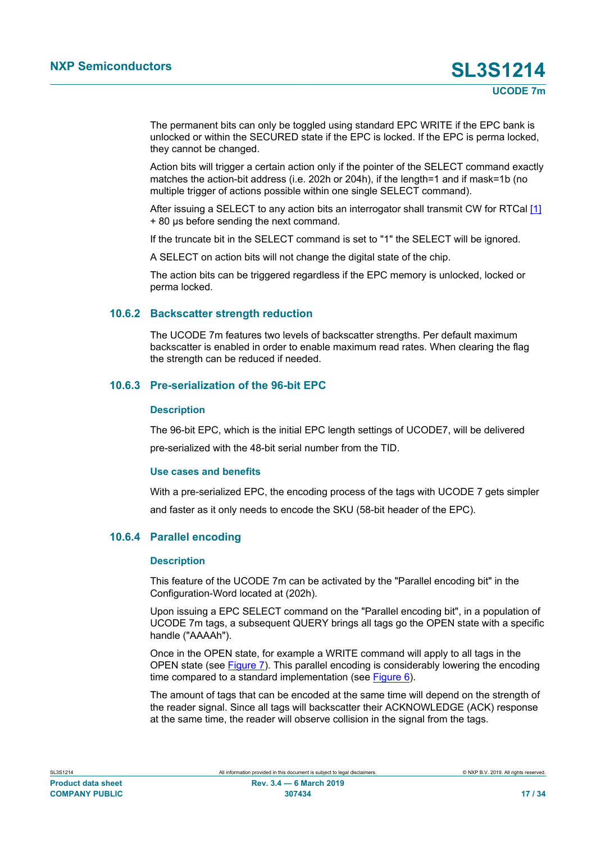The permanent bits can only be toggled using standard EPC WRITE if the EPC bank is unlocked or within the SECURED state if the EPC is locked. If the EPC is perma locked, they cannot be changed.

Action bits will trigger a certain action only if the pointer of the SELECT command exactly matches the action-bit address (i.e. 202h or 204h), if the length=1 and if mask=1b (no multiple trigger of actions possible within one single SELECT command).

After issuing a SELECT to any action bits an interrogator shall transmit CW for RTCal [\[1\]](#page-27-1) + 80 μs before sending the next command.

If the truncate bit in the SELECT command is set to "1" the SELECT will be ignored.

A SELECT on action bits will not change the digital state of the chip.

The action bits can be triggered regardless if the EPC memory is unlocked, locked or perma locked.

#### **10.6.2 Backscatter strength reduction**

<span id="page-16-0"></span>The UCODE 7m features two levels of backscatter strengths. Per default maximum backscatter is enabled in order to enable maximum read rates. When clearing the flag the strength can be reduced if needed.

#### **10.6.3 Pre-serialization of the 96-bit EPC**

#### <span id="page-16-1"></span>**Description**

The 96-bit EPC, which is the initial EPC length settings of UCODE7, will be delivered pre-serialized with the 48-bit serial number from the TID.

#### **Use cases and benefits**

With a pre-serialized EPC, the encoding process of the tags with UCODE 7 gets simpler and faster as it only needs to encode the SKU (58-bit header of the EPC).

#### **10.6.4 Parallel encoding**

#### <span id="page-16-2"></span>**Description**

This feature of the UCODE 7m can be activated by the "Parallel encoding bit" in the Configuration-Word located at (202h).

Upon issuing a EPC SELECT command on the "Parallel encoding bit", in a population of UCODE 7m tags, a subsequent QUERY brings all tags go the OPEN state with a specific handle ("AAAAh").

Once in the OPEN state, for example a WRITE command will apply to all tags in the OPEN state (see [Figure 7](#page-18-0)). This parallel encoding is considerably lowering the encoding time compared to a standard implementation (see [Figure 6](#page-17-0)).

The amount of tags that can be encoded at the same time will depend on the strength of the reader signal. Since all tags will backscatter their ACKNOWLEDGE (ACK) response at the same time, the reader will observe collision in the signal from the tags.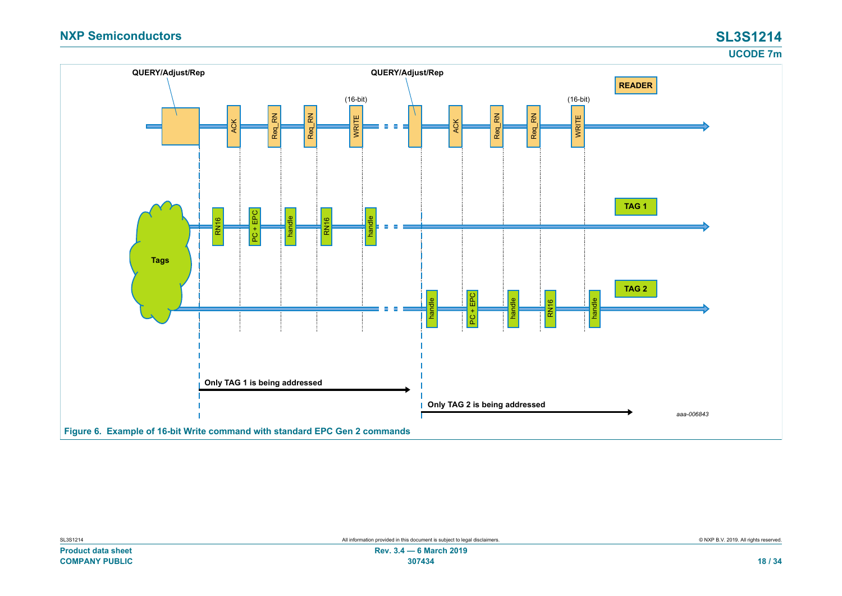<span id="page-17-0"></span>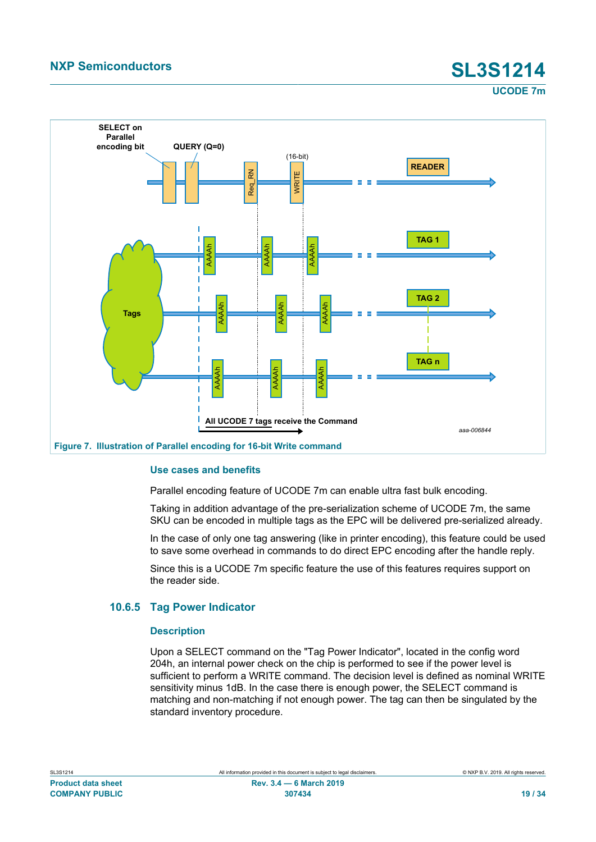**UCODE 7m**

<span id="page-18-0"></span>

#### **Use cases and benefits**

Parallel encoding feature of UCODE 7m can enable ultra fast bulk encoding.

Taking in addition advantage of the pre-serialization scheme of UCODE 7m, the same SKU can be encoded in multiple tags as the EPC will be delivered pre-serialized already.

In the case of only one tag answering (like in printer encoding), this feature could be used to save some overhead in commands to do direct EPC encoding after the handle reply.

Since this is a UCODE 7m specific feature the use of this features requires support on the reader side.

#### **10.6.5 Tag Power Indicator**

#### <span id="page-18-1"></span>**Description**

Upon a SELECT command on the "Tag Power Indicator", located in the config word 204h, an internal power check on the chip is performed to see if the power level is sufficient to perform a WRITE command. The decision level is defined as nominal WRITE sensitivity minus 1dB. In the case there is enough power, the SELECT command is matching and non-matching if not enough power. The tag can then be singulated by the standard inventory procedure.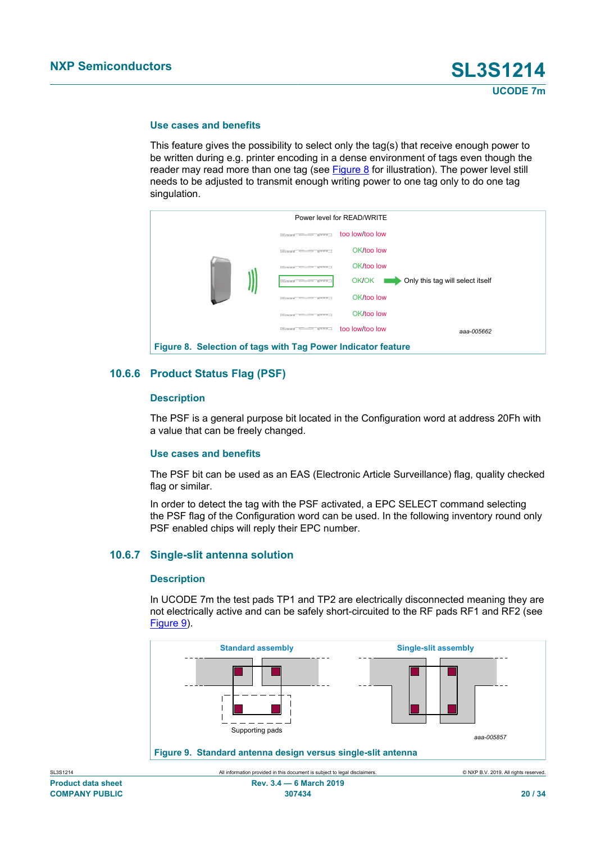#### **Use cases and benefits**

This feature gives the possibility to select only the tag(s) that receive enough power to be written during e.g. printer encoding in a dense environment of tags even though the reader may read more than one tag (see  $Figure 8$  for illustration). The power level still needs to be adjusted to transmit enough writing power to one tag only to do one tag singulation.

<span id="page-19-0"></span>

#### **10.6.6 Product Status Flag (PSF)**

#### <span id="page-19-2"></span>**Description**

The PSF is a general purpose bit located in the Configuration word at address 20Fh with a value that can be freely changed.

#### **Use cases and benefits**

The PSF bit can be used as an EAS (Electronic Article Surveillance) flag, quality checked flag or similar.

In order to detect the tag with the PSF activated, a EPC SELECT command selecting the PSF flag of the Configuration word can be used. In the following inventory round only PSF enabled chips will reply their EPC number.

#### **10.6.7 Single-slit antenna solution**

#### <span id="page-19-3"></span>**Description**

<span id="page-19-1"></span>In UCODE 7m the test pads TP1 and TP2 are electrically disconnected meaning they are not electrically active and can be safely short-circuited to the RF pads RF1 and RF2 (see [Figure 9\)](#page-19-1).

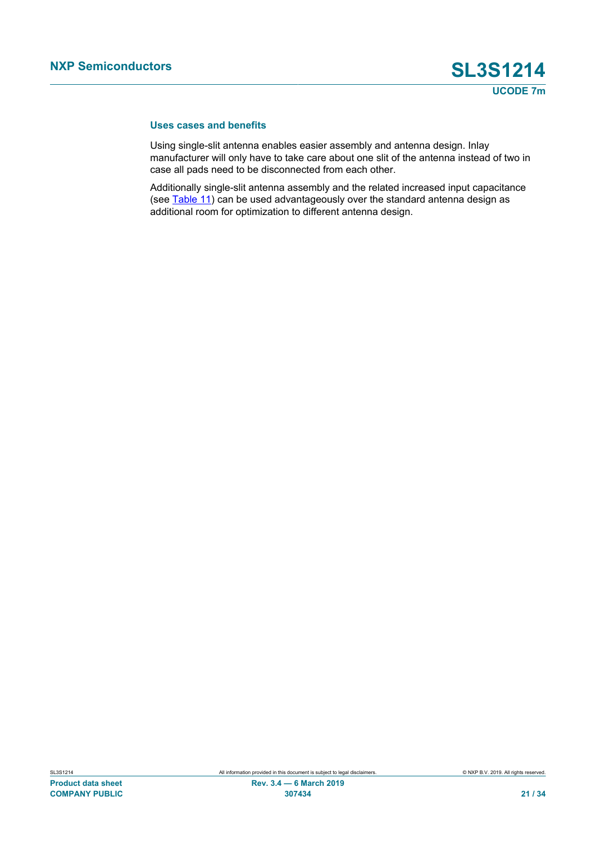#### **Uses cases and benefits**

Using single-slit antenna enables easier assembly and antenna design. Inlay manufacturer will only have to take care about one slit of the antenna instead of two in case all pads need to be disconnected from each other.

Additionally single-slit antenna assembly and the related increased input capacitance (see [Table 11](#page-22-0)) can be used advantageously over the standard antenna design as additional room for optimization to different antenna design.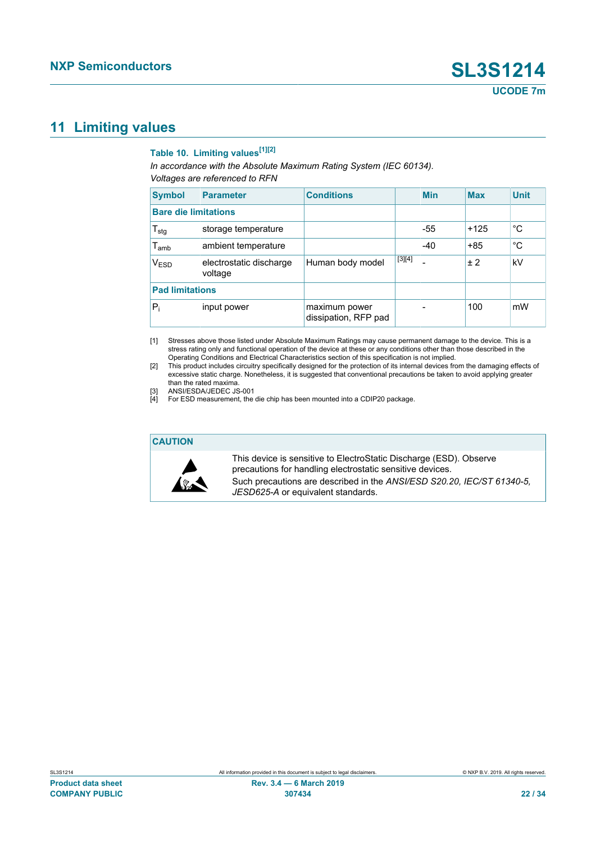### <span id="page-21-5"></span>**11 Limiting values**

### <span id="page-21-4"></span><span id="page-21-1"></span><span id="page-21-0"></span>**Table 10. Limiting values[\[1\]](#page-21-0)[\[2\]](#page-21-1)**

<span id="page-21-2"></span>*In accordance with the Absolute Maximum Rating System (IEC 60134). Voltages are referenced to RFN*

<span id="page-21-3"></span>

| <b>Symbol</b>               | <b>Parameter</b>                   | <b>Conditions</b>                     |          | <b>Min</b> | <b>Max</b> | <b>Unit</b> |
|-----------------------------|------------------------------------|---------------------------------------|----------|------------|------------|-------------|
| <b>Bare die limitations</b> |                                    |                                       |          |            |            |             |
| $T_{\text{stg}}$            | storage temperature                |                                       |          | $-55$      | $+125$     | °C          |
| $T_{amb}$                   | ambient temperature                |                                       |          | $-40$      | $+85$      | °C          |
| V <sub>ESD</sub>            | electrostatic discharge<br>voltage | Human body model                      | $[3][4]$ |            | ±2         | kV          |
| <b>Pad limitations</b>      |                                    |                                       |          |            |            |             |
| $P_i$                       | input power                        | maximum power<br>dissipation, RFP pad |          |            | 100        | mW          |

[1] Stresses above those listed under Absolute Maximum Ratings may cause permanent damage to the device. This is a stress rating only and functional operation of the device at these or any conditions other than those described in the Operating Conditions and Electrical Characteristics section of this specification is not implied.

[2] This product includes circuitry specifically designed for the protection of its internal devices from the damaging effects of excessive static charge. Nonetheless, it is suggested that conventional precautions be taken to avoid applying greater than the rated maxima.

[3] ANSI/ESDA/JEDEC JS-001

[4] For ESD measurement, the die chip has been mounted into a CDIP20 package.

#### **CAUTION**



This device is sensitive to ElectroStatic Discharge (ESD). Observe precautions for handling electrostatic sensitive devices. Such precautions are described in the *ANSI/ESD S20.20, IEC/ST 61340-5, JESD625-A* or equivalent standards.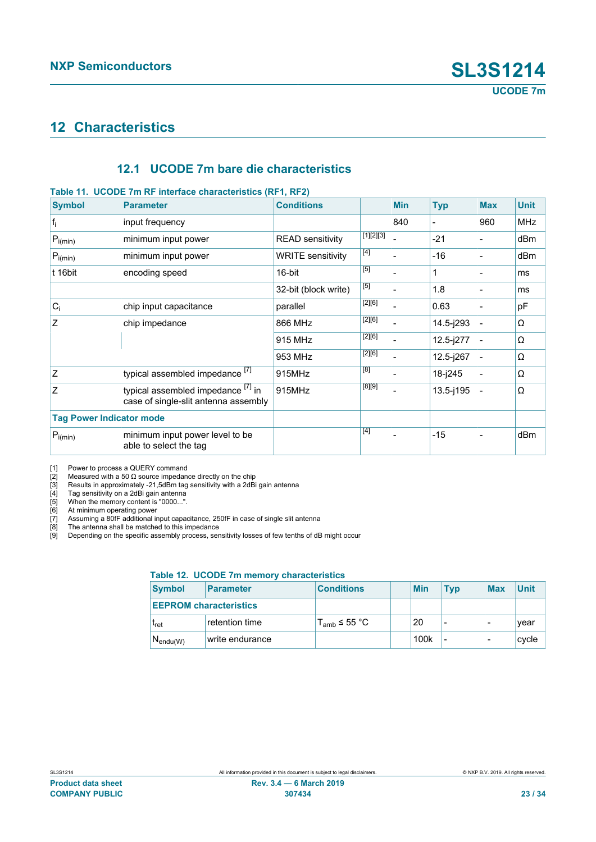### <span id="page-22-11"></span>**12 Characteristics**

### <span id="page-22-12"></span><span id="page-22-9"></span><span id="page-22-8"></span><span id="page-22-7"></span><span id="page-22-6"></span><span id="page-22-5"></span><span id="page-22-4"></span><span id="page-22-3"></span><span id="page-22-2"></span><span id="page-22-1"></span><span id="page-22-0"></span>**12.1 UCODE 7m bare die characteristics**

#### **Table 11. UCODE 7m RF interface characteristics (RF1, RF2) Symbol Parameter Conditions Min Typ Max Unit** fi input frequency and the state of the state of the state of  $\vert$  840  $\vert$  -  $\vert$  960 MHz P<sub>i(min)</sub> minimum input power READ sensitivity [\[1\]](#page-22-1)[\[2\]](#page-22-2)[\[3\]](#page-22-3) - |-21 |- |dBm  $\overline{P_{\text{i(min)}}}$  minimum input power WRITE sensitivity  $^{[4]}$  $^{[4]}$  $^{[4]}$ - -16 - dBm t 16bit encoding speed 16-bit [\[5\]](#page-22-5) - |1 |- |ms  $32$ -bit (block write)  $\boxed{[5]}$  $\boxed{[5]}$  $\boxed{[5]}$ - |1.8 |- |ms  $C_i$  chip input capacitance parallel  $[2][6]$  $[2][6]$  $0.63$   $\qquad -$  pF 866 MHz [\[2\]](#page-22-2)[\[6\]](#page-22-6)  $14.5$ -j293 -  $\Omega$ 915 MHz [\[2\]](#page-22-2)[\[6\]](#page-22-6)  $12.5$ -j277 -  $\Omega$ Z chip impedance 953 MHz [\[2\]](#page-22-2)[\[6\]](#page-22-6)  $12.5$ -j267 -  $\Omega$  $Z$  typical assembled impedance  $^{[7]}$  $^{[7]}$  $^{[7]}$  915MHz [\[8\]](#page-22-8)  $18$ -j245 -  $\Omega$  $Z$  typical assembled impedance  $^{[7]}$  $^{[7]}$  $^{[7]}$  in case of single-slit antenna assembly 915MHz [\[8\]](#page-22-8)[\[9\]](#page-22-9)  $13.5$ -j195 -  $\Omega$ **Tag Power Indicator mode**  $P_{i(min)}$  minimum input power level to be able to select the tag [\[4\]](#page-22-4) - |-15 |- |dBm

[1] Power to process a QUERY command<br>[2] Measured with a 50  $\Omega$  source impedant

[2] Measured with a 50 Ω source impedance directly on the chip [3] Results in approximately -21,5dBm tag sensitivity with a 2dBi

Results in approximately -21,5dBm tag sensitivity with a 2dBi gain antenna

[4] Tag sensitivity on a 2dBi gain antenna<br>[5] When the memory content is "0000...".

[5] When the memory content is "0000..."<br>[6] At minimum operating power

[6] At minimum operating power<br>[7] Assuming a 80fF additional in

[7] Assuming a 80fF additional input capacitance, 250fF in case of single slit antenna<br>[8] The antenna shall be matched to this impedance

[8] The antenna shall be matched to this impedance<br>[9] Depending on the specific assembly process, ser

Depending on the specific assembly process, sensitivity losses of few tenths of dB might occur

#### <span id="page-22-10"></span>**Table 12. UCODE 7m memory characteristics**

| <b>Symbol</b><br>Parameter<br><b>EEPROM characteristics</b> |                         |                 | <b>Conditions</b> | <b>Min</b> | Tvp | <b>Max</b> | <b>Unit</b> |
|-------------------------------------------------------------|-------------------------|-----------------|-------------------|------------|-----|------------|-------------|
|                                                             |                         |                 |                   |            |     |            |             |
|                                                             | <b>T</b> <sub>ret</sub> | retention time  | $T_{amb}$ ≤ 55 °C | 20         |     | -          | year        |
|                                                             | $N_{endu(W)}$           | write endurance |                   | 100k       |     | -          | cycle       |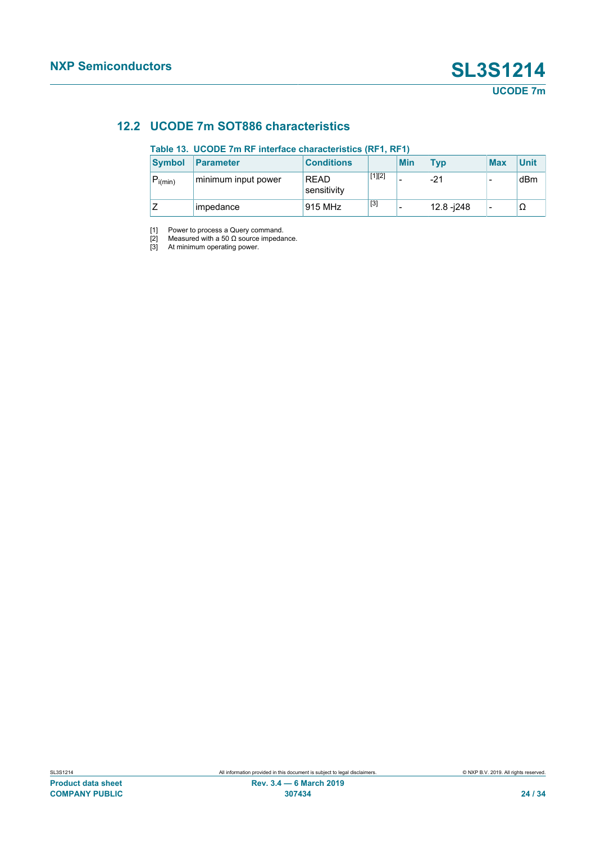### **12.2 UCODE 7m SOT886 characteristics**

#### <span id="page-23-4"></span><span id="page-23-3"></span><span id="page-23-2"></span><span id="page-23-1"></span><span id="page-23-0"></span>**Table 13. UCODE 7m RF interface characteristics (RF1, RF1)**

| <b>Symbol</b> | <b>Parameter</b>    | <b>Conditions</b>          |          | <b>Min</b> | <b>Typ</b>  | <b>Max</b> | <b>Unit</b> |
|---------------|---------------------|----------------------------|----------|------------|-------------|------------|-------------|
| $P_{i(min)}$  | minimum input power | <b>RFAD</b><br>sensitivity | $[1][2]$ |            | -21         | -          | dBm         |
|               | impedance           | 915 MHz                    | $[3]$    |            | 12.8 - i248 | -          | Ω           |

[1] Power to process a Query command.

[2] Measured with a 50  $\Omega$  source impedance.

[3] At minimum operating power.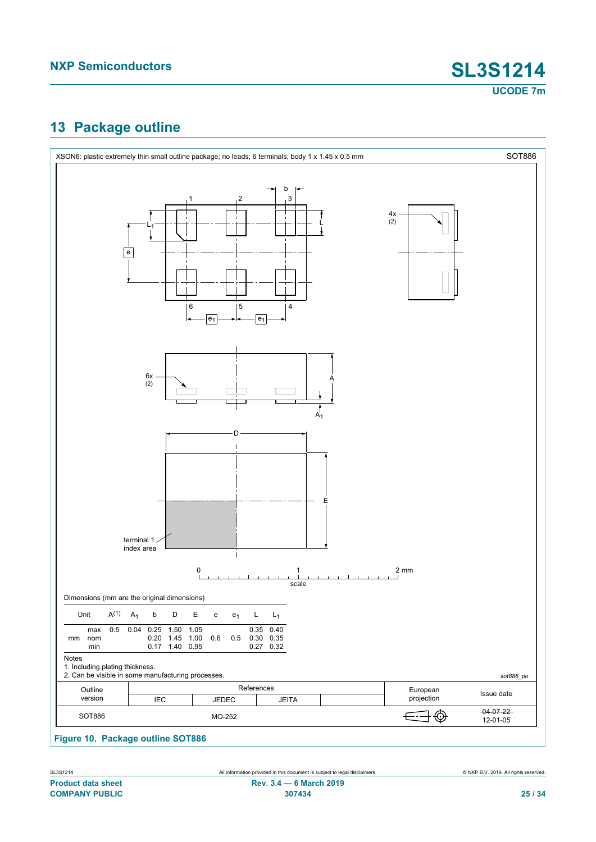### <span id="page-24-1"></span>**13 Package outline**

<span id="page-24-0"></span>

**Figure 10. Package outline SOT886**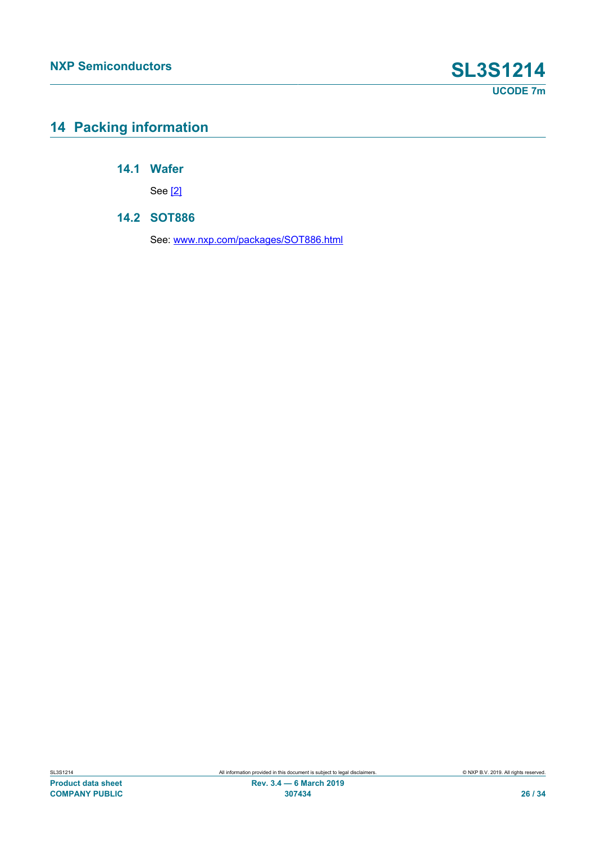### <span id="page-25-0"></span>**14 Packing information**

**14.1 Wafer**

<span id="page-25-2"></span><span id="page-25-1"></span>See [\[2\]](#page-27-0)

#### **14.2 SOT886**

See: [www.nxp.com/packages/SOT886.html](http://www.nxp.com/packages/SOT886.html)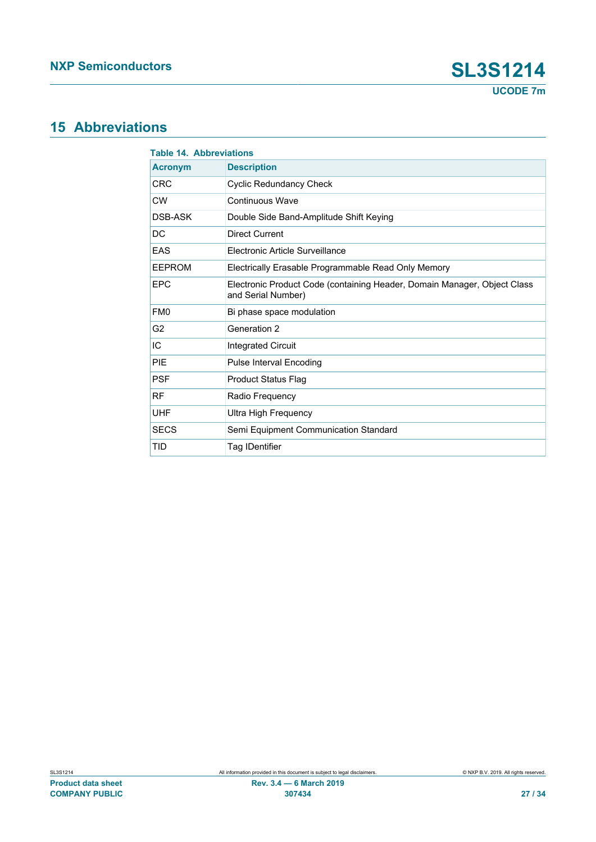### <span id="page-26-1"></span>**15 Abbreviations**

<span id="page-26-0"></span>

|                 | <b>Table 14. Abbreviations</b>                                                                 |  |  |  |  |
|-----------------|------------------------------------------------------------------------------------------------|--|--|--|--|
| <b>Acronym</b>  | <b>Description</b>                                                                             |  |  |  |  |
| <b>CRC</b>      | <b>Cyclic Redundancy Check</b>                                                                 |  |  |  |  |
| <b>CW</b>       | Continuous Wave                                                                                |  |  |  |  |
| DSB-ASK         | Double Side Band-Amplitude Shift Keying                                                        |  |  |  |  |
| DC              | Direct Current                                                                                 |  |  |  |  |
| EAS             | Electronic Article Surveillance                                                                |  |  |  |  |
| <b>EEPROM</b>   | Electrically Erasable Programmable Read Only Memory                                            |  |  |  |  |
| <b>EPC</b>      | Electronic Product Code (containing Header, Domain Manager, Object Class<br>and Serial Number) |  |  |  |  |
| FM <sub>0</sub> | Bi phase space modulation                                                                      |  |  |  |  |
| G <sub>2</sub>  | Generation 2                                                                                   |  |  |  |  |
| IC              | <b>Integrated Circuit</b>                                                                      |  |  |  |  |
| PIE             | <b>Pulse Interval Encoding</b>                                                                 |  |  |  |  |
| <b>PSF</b>      | <b>Product Status Flag</b>                                                                     |  |  |  |  |
| <b>RF</b>       | Radio Frequency                                                                                |  |  |  |  |
| <b>UHF</b>      | <b>Ultra High Frequency</b>                                                                    |  |  |  |  |
| <b>SECS</b>     | Semi Equipment Communication Standard                                                          |  |  |  |  |
| TID             | Tag IDentifier                                                                                 |  |  |  |  |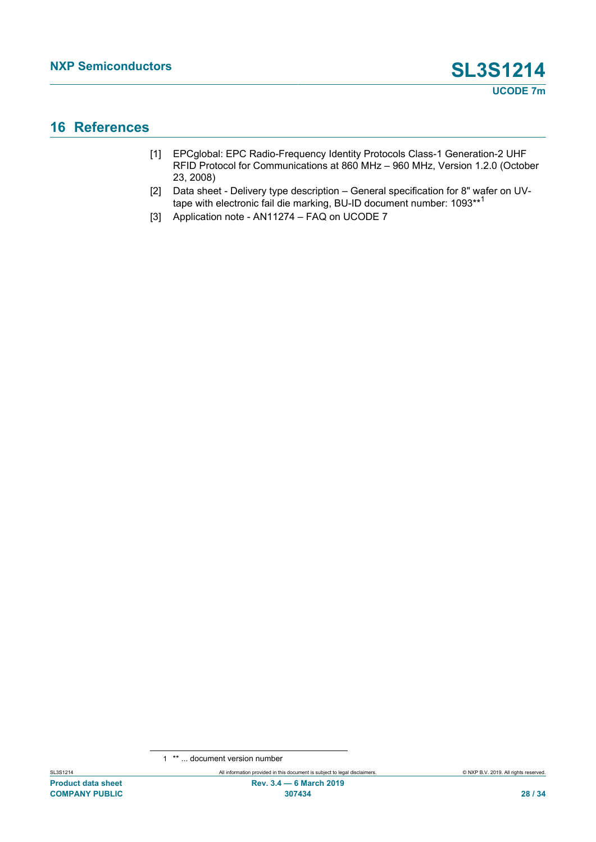### <span id="page-27-3"></span>**16 References**

- <span id="page-27-1"></span>[1] EPCglobal: EPC Radio-Frequency Identity Protocols Class-1 Generation-2 UHF RFID Protocol for Communications at 860 MHz – 960 MHz, Version 1.2.0 (October 23, 2008)
- <span id="page-27-0"></span>[2] Data sheet - Delivery type description – General specification for 8" wafer on UVtape with electronic fail die marking, BU-ID document number: 1093\*\*<sup>1</sup>
- <span id="page-27-2"></span>[3] Application note - AN11274 – FAQ on UCODE 7

<sup>1</sup> \*\* ... document version number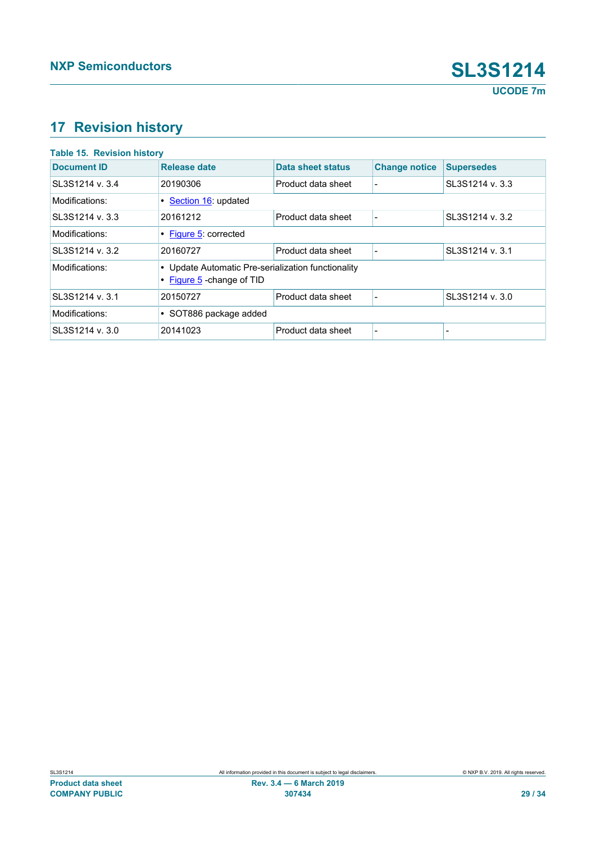## <span id="page-28-1"></span>**17 Revision history**

<span id="page-28-0"></span>

| <b>Table 15. Revision history</b>                                                                  |                        |                    |                      |                   |  |  |
|----------------------------------------------------------------------------------------------------|------------------------|--------------------|----------------------|-------------------|--|--|
| <b>Document ID</b>                                                                                 | <b>Release date</b>    | Data sheet status  | <b>Change notice</b> | <b>Supersedes</b> |  |  |
| SL3S1214 v. 3.4                                                                                    | 20190306               | Product data sheet |                      | SL3S1214 v. 3.3   |  |  |
| Modifications:                                                                                     | • Section 16: updated  |                    |                      |                   |  |  |
| SL3S1214 v. 3.3                                                                                    | 20161212               | Product data sheet |                      | SL3S1214 v. 3.2   |  |  |
| Modifications:                                                                                     | • Figure 5: corrected  |                    |                      |                   |  |  |
| SL3S1214 v. 3.2                                                                                    | 20160727               | Product data sheet |                      | SL3S1214 v. 3.1   |  |  |
| Modifications:<br>• Update Automatic Pre-serialization functionality<br>• Figure 5 - change of TID |                        |                    |                      |                   |  |  |
| SL3S1214 v. 3.1                                                                                    | 20150727               | Product data sheet | ٠                    | SL3S1214 v. 3.0   |  |  |
| Modifications:                                                                                     | • SOT886 package added |                    |                      |                   |  |  |
| SL3S1214 v. 3.0                                                                                    | 20141023               | Product data sheet |                      |                   |  |  |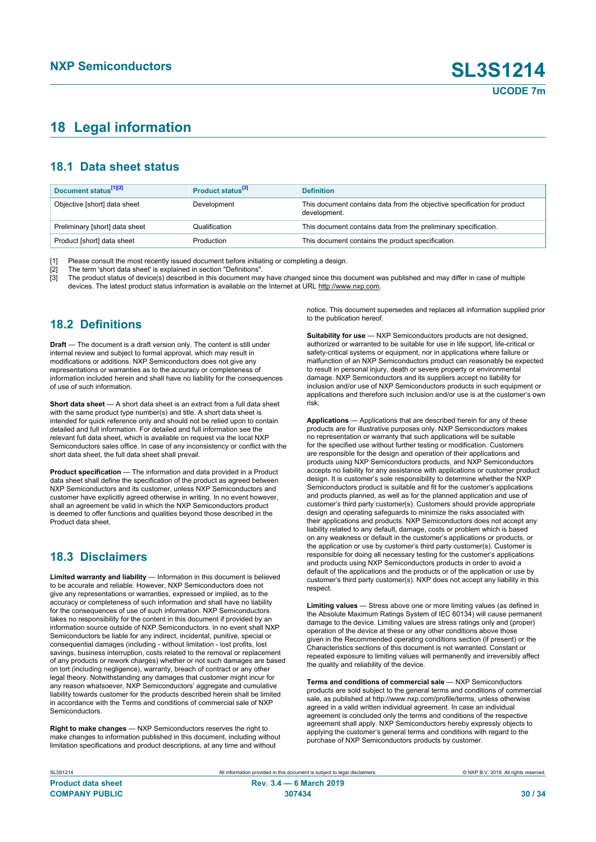### <span id="page-29-0"></span>**18 Legal information**

### **18.1 Data sheet status**

| Document status <sup>[1][2]</sup> | Product status <sup>[3]</sup> | <b>Definition</b>                                                                        |
|-----------------------------------|-------------------------------|------------------------------------------------------------------------------------------|
| Objective [short] data sheet      | Development                   | This document contains data from the objective specification for product<br>development. |
| Preliminary [short] data sheet    | Qualification                 | This document contains data from the preliminary specification.                          |
| Product [short] data sheet        | Production                    | This document contains the product specification.                                        |

[1] Please consult the most recently issued document before initiating or completing a design.<br>[2] The term 'short data sheet' is explained in section "Definitions".

[2] The term 'short data sheet' is explained in section "Definitions".<br>[3] The product status of device(s) described in this document may

The product status of device(s) described in this document may have changed since this document was published and may differ in case of multiple devices. The latest product status information is available on the Internet at URL http://www.nxp.com.

### **18.2 Definitions**

**Draft** — The document is a draft version only. The content is still under internal review and subject to formal approval, which may result in modifications or additions. NXP Semiconductors does not give any representations or warranties as to the accuracy or completeness of information included herein and shall have no liability for the consequences of use of such information.

**Short data sheet** — A short data sheet is an extract from a full data sheet with the same product type number(s) and title. A short data sheet is intended for quick reference only and should not be relied upon to contain detailed and full information. For detailed and full information see the relevant full data sheet, which is available on request via the local NXP Semiconductors sales office. In case of any inconsistency or conflict with the short data sheet, the full data sheet shall prevail.

**Product specification** — The information and data provided in a Product data sheet shall define the specification of the product as agreed between NXP Semiconductors and its customer, unless NXP Semiconductors and customer have explicitly agreed otherwise in writing. In no event however, shall an agreement be valid in which the NXP Semiconductors product is deemed to offer functions and qualities beyond those described in the Product data sheet.

#### **18.3 Disclaimers**

**Limited warranty and liability** — Information in this document is believed to be accurate and reliable. However, NXP Semiconductors does not give any representations or warranties, expressed or implied, as to the accuracy or completeness of such information and shall have no liability for the consequences of use of such information. NXP Semiconductors takes no responsibility for the content in this document if provided by an information source outside of NXP Semiconductors. In no event shall NXP Semiconductors be liable for any indirect, incidental, punitive, special or consequential damages (including - without limitation - lost profits, lost savings, business interruption, costs related to the removal or replacement of any products or rework charges) whether or not such damages are based on tort (including negligence), warranty, breach of contract or any other legal theory. Notwithstanding any damages that customer might incur for any reason whatsoever, NXP Semiconductors' aggregate and cumulative liability towards customer for the products described herein shall be limited in accordance with the Terms and conditions of commercial sale of NXP **Semiconductors** 

**Right to make changes** — NXP Semiconductors reserves the right to make changes to information published in this document, including without limitation specifications and product descriptions, at any time and without

notice. This document supersedes and replaces all information supplied prior to the publication hereof.

**Suitability for use** — NXP Semiconductors products are not designed, authorized or warranted to be suitable for use in life support, life-critical or safety-critical systems or equipment, nor in applications where failure or malfunction of an NXP Semiconductors product can reasonably be expected to result in personal injury, death or severe property or environmental damage. NXP Semiconductors and its suppliers accept no liability for inclusion and/or use of NXP Semiconductors products in such equipment or applications and therefore such inclusion and/or use is at the customer's own risk.

**Applications** — Applications that are described herein for any of these products are for illustrative purposes only. NXP Semiconductors makes no representation or warranty that such applications will be suitable for the specified use without further testing or modification. Customers are responsible for the design and operation of their applications and products using NXP Semiconductors products, and NXP Semiconductors accepts no liability for any assistance with applications or customer product design. It is customer's sole responsibility to determine whether the NXP Semiconductors product is suitable and fit for the customer's applications and products planned, as well as for the planned application and use of customer's third party customer(s). Customers should provide appropriate design and operating safeguards to minimize the risks associated with their applications and products. NXP Semiconductors does not accept any liability related to any default, damage, costs or problem which is based on any weakness or default in the customer's applications or products, or the application or use by customer's third party customer(s). Customer is responsible for doing all necessary testing for the customer's applications and products using NXP Semiconductors products in order to avoid a default of the applications and the products or of the application or use by customer's third party customer(s). NXP does not accept any liability in this respect

**Limiting values** — Stress above one or more limiting values (as defined in the Absolute Maximum Ratings System of IEC 60134) will cause permanent damage to the device. Limiting values are stress ratings only and (proper) operation of the device at these or any other conditions above those given in the Recommended operating conditions section (if present) or the Characteristics sections of this document is not warranted. Constant or repeated exposure to limiting values will permanently and irreversibly affect the quality and reliability of the device.

**Terms and conditions of commercial sale** — NXP Semiconductors products are sold subject to the general terms and conditions of commercial sale, as published at http://www.nxp.com/profile/terms, unless otherwise agreed in a valid written individual agreement. In case an individual agreement is concluded only the terms and conditions of the respective agreement shall apply. NXP Semiconductors hereby expressly objects to applying the customer's general terms and conditions with regard to the purchase of NXP Semiconductors products by customer.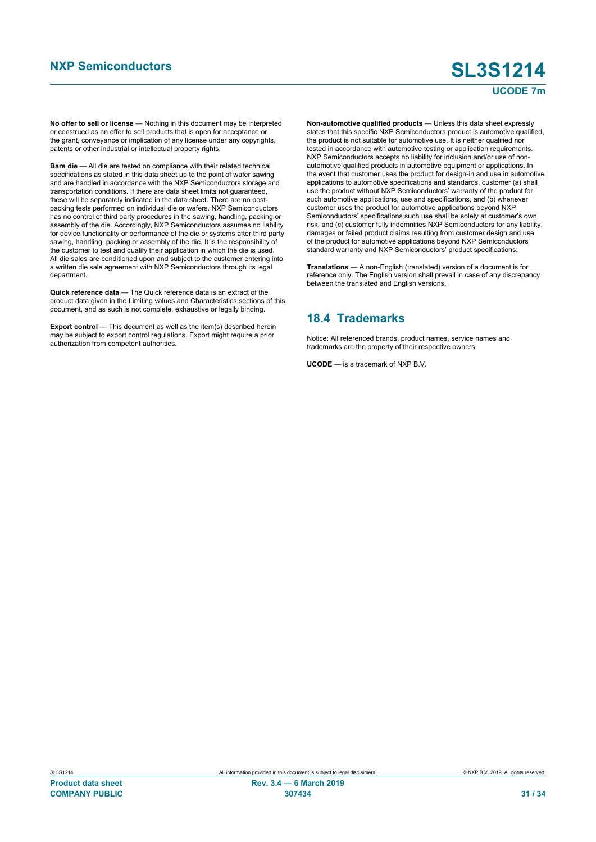#### **UCODE 7m**

**No offer to sell or license** — Nothing in this document may be interpreted or construed as an offer to sell products that is open for acceptance or the grant, conveyance or implication of any license under any copyrights, patents or other industrial or intellectual property rights.

**Bare die** — All die are tested on compliance with their related technical specifications as stated in this data sheet up to the point of wafer sawing and are handled in accordance with the NXP Semiconductors storage and transportation conditions. If there are data sheet limits not guaranteed, these will be separately indicated in the data sheet. There are no postpacking tests performed on individual die or wafers. NXP Semiconductors has no control of third party procedures in the sawing, handling, packing or assembly of the die. Accordingly, NXP Semiconductors assumes no liability for device functionality or performance of the die or systems after third party sawing, handling, packing or assembly of the die. It is the responsibility of the customer to test and qualify their application in which the die is used. All die sales are conditioned upon and subject to the customer entering into a written die sale agreement with NXP Semiconductors through its legal department.

**Quick reference data** — The Quick reference data is an extract of the product data given in the Limiting values and Characteristics sections of this document, and as such is not complete, exhaustive or legally binding.

**Export control** — This document as well as the item(s) described herein may be subject to export control regulations. Export might require a prior authorization from competent authorities.

**Non-automotive qualified products** — Unless this data sheet expressly states that this specific NXP Semiconductors product is automotive qualified, the product is not suitable for automotive use. It is neither qualified nor tested in accordance with automotive testing or application requirements. NXP Semiconductors accepts no liability for inclusion and/or use of nonautomotive qualified products in automotive equipment or applications. In the event that customer uses the product for design-in and use in automotive applications to automotive specifications and standards, customer (a) shall use the product without NXP Semiconductors' warranty of the product for such automotive applications, use and specifications, and (b) whenever customer uses the product for automotive applications beyond NXP Semiconductors' specifications such use shall be solely at customer's own risk, and (c) customer fully indemnifies NXP Semiconductors for any liability, damages or failed product claims resulting from customer design and use of the product for automotive applications beyond NXP Semiconductors' standard warranty and NXP Semiconductors' product specifications.

**Translations** — A non-English (translated) version of a document is for reference only. The English version shall prevail in case of any discrepancy between the translated and English versions.

#### **18.4 Trademarks**

Notice: All referenced brands, product names, service names and trademarks are the property of their respective owners.

**UCODE** — is a trademark of NXP B.V.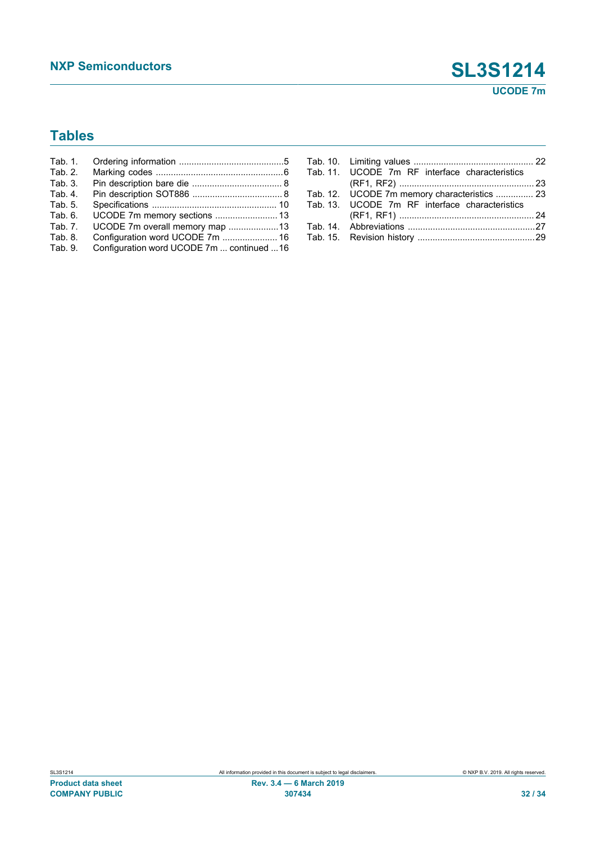### **Tables**

| Tab. 1. |                                            |  |
|---------|--------------------------------------------|--|
| Tab. 2. |                                            |  |
| Tab. 3. |                                            |  |
| Tab. 4. |                                            |  |
| Tab. 5. |                                            |  |
| Tab. 6. | UCODE 7m memory sections  13               |  |
| Tab. 7. | UCODE 7m overall memory map 13             |  |
| Tab. 8. |                                            |  |
| Tab. 9. | Configuration word UCODE 7m  continued  16 |  |

| Tab. 11. UCODE 7m RF interface characteristics |  |
|------------------------------------------------|--|
|                                                |  |
| Tab. 12. UCODE 7m memory characteristics  23   |  |
| Tab. 13. UCODE 7m RF interface characteristics |  |
|                                                |  |
|                                                |  |
|                                                |  |
|                                                |  |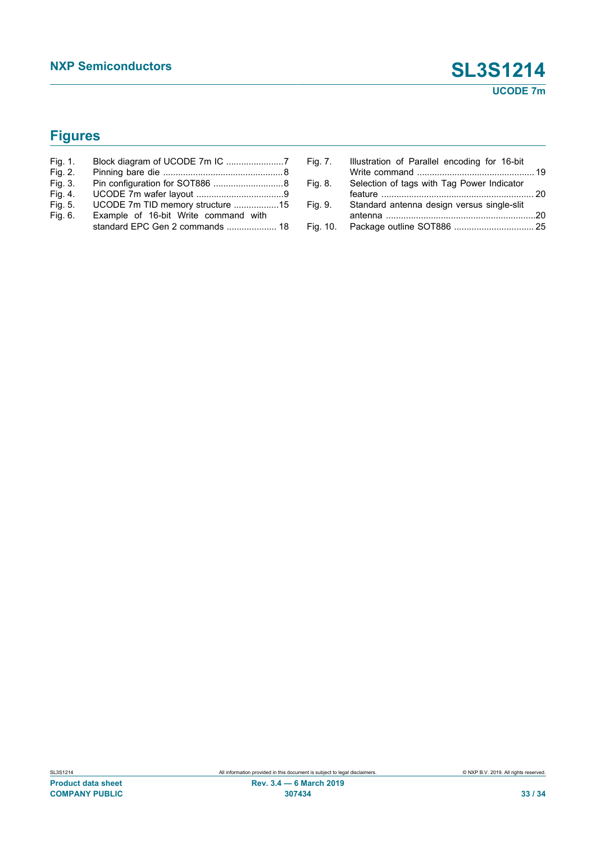## **Figures**

| Fig. 1. |                                      |  |
|---------|--------------------------------------|--|
| Fig. 2. |                                      |  |
| Fig. 3. |                                      |  |
| Fig. 4. |                                      |  |
| Fig. 5. | UCODE 7m TID memory structure 15     |  |
| Fig. 6. | Example of 16-bit Write command with |  |
|         |                                      |  |

| Fig. 7.  | Illustration of Parallel encoding for 16-bit |  |
|----------|----------------------------------------------|--|
| Fig. 8.  | Selection of tags with Tag Power Indicator   |  |
| Fig. 9.  | Standard antenna design versus single-slit   |  |
| Fig. 10. |                                              |  |